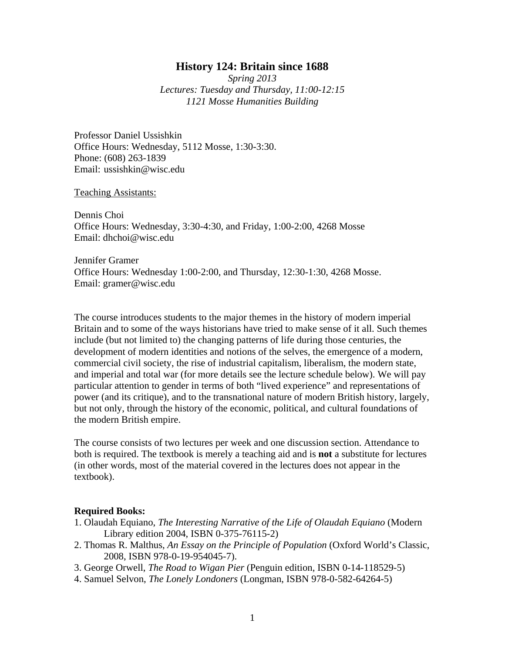#### **History 124: Britain since 1688**

*Spring 2013 Lectures: Tuesday and Thursday, 11:00-12:15 1121 Mosse Humanities Building*

Professor Daniel Ussishkin Office Hours: Wednesday, 5112 Mosse, 1:30-3:30. Phone: (608) 263-1839 Email: ussishkin@wisc.edu

Teaching Assistants:

Dennis Choi Office Hours: Wednesday, 3:30-4:30, and Friday, 1:00-2:00, 4268 Mosse Email: dhchoi@wisc.edu

Jennifer Gramer Office Hours: Wednesday 1:00-2:00, and Thursday, 12:30-1:30, 4268 Mosse. Email: gramer@wisc.edu

The course introduces students to the major themes in the history of modern imperial Britain and to some of the ways historians have tried to make sense of it all. Such themes include (but not limited to) the changing patterns of life during those centuries, the development of modern identities and notions of the selves, the emergence of a modern, commercial civil society, the rise of industrial capitalism, liberalism, the modern state, and imperial and total war (for more details see the lecture schedule below). We will pay particular attention to gender in terms of both "lived experience" and representations of power (and its critique), and to the transnational nature of modern British history, largely, but not only, through the history of the economic, political, and cultural foundations of the modern British empire.

The course consists of two lectures per week and one discussion section. Attendance to both is required. The textbook is merely a teaching aid and is **not** a substitute for lectures (in other words, most of the material covered in the lectures does not appear in the textbook).

#### **Required Books:**

- 1. Olaudah Equiano, *The Interesting Narrative of the Life of Olaudah Equiano* (Modern Library edition 2004, ISBN 0-375-76115-2)
- 2. Thomas R. Malthus, *An Essay on the Principle of Population* (Oxford World's Classic, 2008, ISBN 978-0-19-954045-7).
- 3. George Orwell, *The Road to Wigan Pier* (Penguin edition, ISBN 0-14-118529-5)
- 4. Samuel Selvon, *The Lonely Londoners* (Longman, ISBN 978-0-582-64264-5)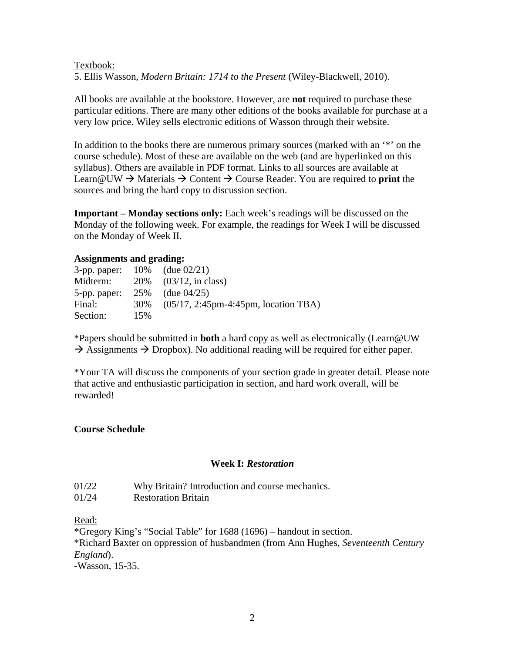# Textbook:

5. Ellis Wasson, *Modern Britain: 1714 to the Present* (Wiley-Blackwell, 2010).

All books are available at the bookstore. However, are **not** required to purchase these particular editions. There are many other editions of the books available for purchase at a very low price. Wiley sells electronic editions of Wasson through their website.

In addition to the books there are numerous primary sources (marked with an '\*' on the course schedule). Most of these are available on the web (and are hyperlinked on this syllabus). Others are available in PDF format. Links to all sources are available at Learn@UW  $\rightarrow$  Materials  $\rightarrow$  Content  $\rightarrow$  Course Reader. You are required to **print** the sources and bring the hard copy to discussion section.

**Important – Monday sections only:** Each week's readings will be discussed on the Monday of the following week. For example, the readings for Week I will be discussed on the Monday of Week II.

# **Assignments and grading:**

| 3-pp. paper: |     | 10\% (due $02/21$ )                                       |
|--------------|-----|-----------------------------------------------------------|
| Midterm:     |     | $20\%$ (03/12, in class)                                  |
| 5-pp. paper: |     | $25\%$ (due $04/25$ )                                     |
| Final:       | 30% | $(05/17, 2:45 \text{pm} - 4:45 \text{pm}$ , location TBA) |
| Section:     | 15% |                                                           |

\*Papers should be submitted in **both** a hard copy as well as electronically (Learn@UW  $\rightarrow$  Assignments  $\rightarrow$  Dropbox). No additional reading will be required for either paper.

\*Your TA will discuss the components of your section grade in greater detail. Please note that active and enthusiastic participation in section, and hard work overall, will be rewarded!

# **Course Schedule**

# **Week I:** *Restoration*

01/22 Why Britain? Introduction and course mechanics.

01/24 Restoration Britain

Read:

\*Gregory King's "Social Table" for 1688 (1696) – handout in section. \*Richard Baxter on oppression of husbandmen (from Ann Hughes, *Seventeenth Century England*). -Wasson, 15-35.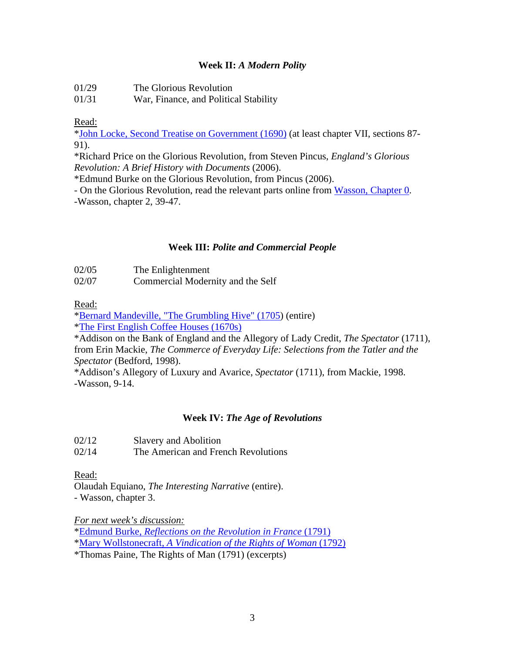# **Week II:** *A Modern Polity*

01/29 The Glorious Revolution

01/31 War, Finance, and Political Stability

Read:

\*John Locke, Second Treatise on Government (1690) (at least chapter VII, sections 87- 91).

\*Richard Price on the Glorious Revolution, from Steven Pincus, *England's Glorious Revolution: A Brief History with Documents* (2006).

\*Edmund Burke on the Glorious Revolution, from Pincus (2006).

- On the Glorious Revolution, read the relevant parts online from Wasson, Chapter 0.

-Wasson, chapter 2, 39-47.

# **Week III:** *Polite and Commercial People*

| 02/05 | The Enlightenment |
|-------|-------------------|
|-------|-------------------|

02/07 Commercial Modernity and the Self

Read:

\*Bernard Mandeville, "The Grumbling Hive" (1705) (entire)

\*The First English Coffee Houses (1670s)

\*Addison on the Bank of England and the Allegory of Lady Credit, *The Spectator* (1711), from Erin Mackie, *The Commerce of Everyday Life: Selections from the Tatler and the Spectator* (Bedford, 1998).

\*Addison's Allegory of Luxury and Avarice, *Spectator* (1711), from Mackie, 1998. -Wasson, 9-14.

# **Week IV:** *The Age of Revolutions*

| 02/12 | Slavery and Abolition |
|-------|-----------------------|
|-------|-----------------------|

02/14 The American and French Revolutions

Read:

Olaudah Equiano, *The Interesting Narrative* (entire). - Wasson, chapter 3.

*For next week's discussion:*

\*Edmund Burke, *Reflections on the Revolution in France* (1791) \*Mary Wollstonecraft, *A Vindication of the Rights of Woman* (1792)

\*Thomas Paine, The Rights of Man (1791) (excerpts)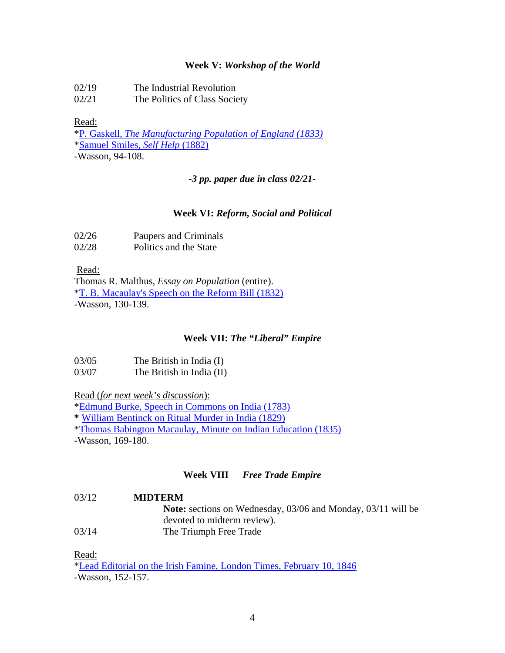## **Week V:** *Workshop of the World*

- 02/19 The Industrial Revolution
- 02/21 The Politics of Class Society

# Read:

\*P*.* Gaskell*, The Manufacturing Population of England (1833)* \*Samuel Smiles, *Self Help* (1882)

-Wasson, 94-108.

*-3 pp. paper due in class 02/21-* 

# **Week VI:** *Reform, Social and Political*

| 02/26 | Paupers and Criminals |
|-------|-----------------------|
|       |                       |

02/28 Politics and the State

Read:

Thomas R. Malthus, *Essay on Population* (entire). \*T. B. Macaulay's Speech on the Reform Bill (1832) -Wasson, 130-139.

# **Week VII:** *The "Liberal" Empire*

| 03/05 | The British in India (I)  |
|-------|---------------------------|
| 03/07 | The British in India (II) |

Read (*for next week's discussion*):

\*Edmund Burke, Speech in Commons on India (1783)

**\*** William Bentinck on Ritual Murder in India (1829)

\*Thomas Babington Macaulay, Minute on Indian Education (1835)

-Wasson, 169-180.

# **Week VIII** *Free Trade Empire*

# 03/12 **MIDTERM**

**Note:** sections on Wednesday, 03/06 and Monday, 03/11 will be devoted to midterm review).

03/14 The Triumph Free Trade

Read:

\*Lead Editorial on the Irish Famine, London Times, February 10, 1846 -Wasson, 152-157.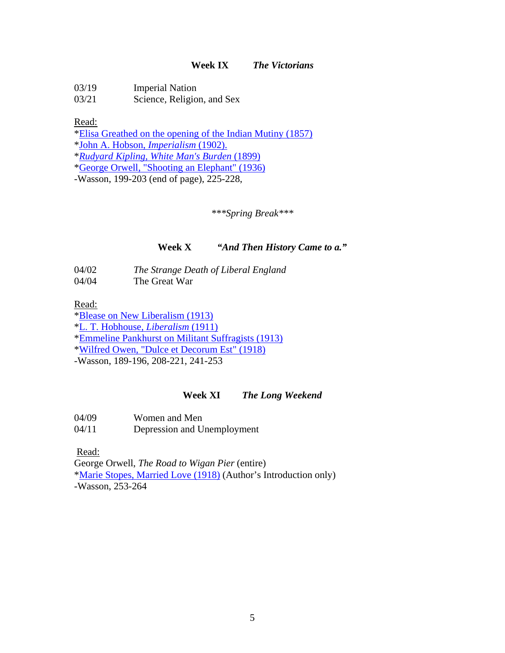# **Week IX** *The Victorians*

| 03/19 | <b>Imperial Nation</b> |
|-------|------------------------|
| 0.212 |                        |

03/21 Science, Religion, and Sex

Read:

\*Elisa Greathed on the opening of the Indian Mutiny (1857)

\*John A. Hobson, *Imperialism* (1902).

\**Rudyard Kipling, White Man's Burden* (1899)

\*George Orwell, "Shooting an Elephant" (1936)

-Wasson, 199-203 (end of page), 225-228,

*\*\*\*Spring Break\*\*\** 

# **Week X** *"And Then History Came to a."*

04/02 *The Strange Death of Liberal England* 04/04 The Great War

Read:

\*Blease on New Liberalism (1913)

\*L. T. Hobhouse, *Liberalism* (1911)

\*Emmeline Pankhurst on Militant Suffragists (1913)

\*Wilfred Owen, "Dulce et Decorum Est" (1918)

-Wasson, 189-196, 208-221, 241-253

# **Week XI** *The Long Weekend*

04/09 Women and Men

04/11 Depression and Unemployment

Read:

George Orwell, *The Road to Wigan Pier* (entire) \*Marie Stopes, Married Love (1918) (Author's Introduction only) -Wasson, 253-264